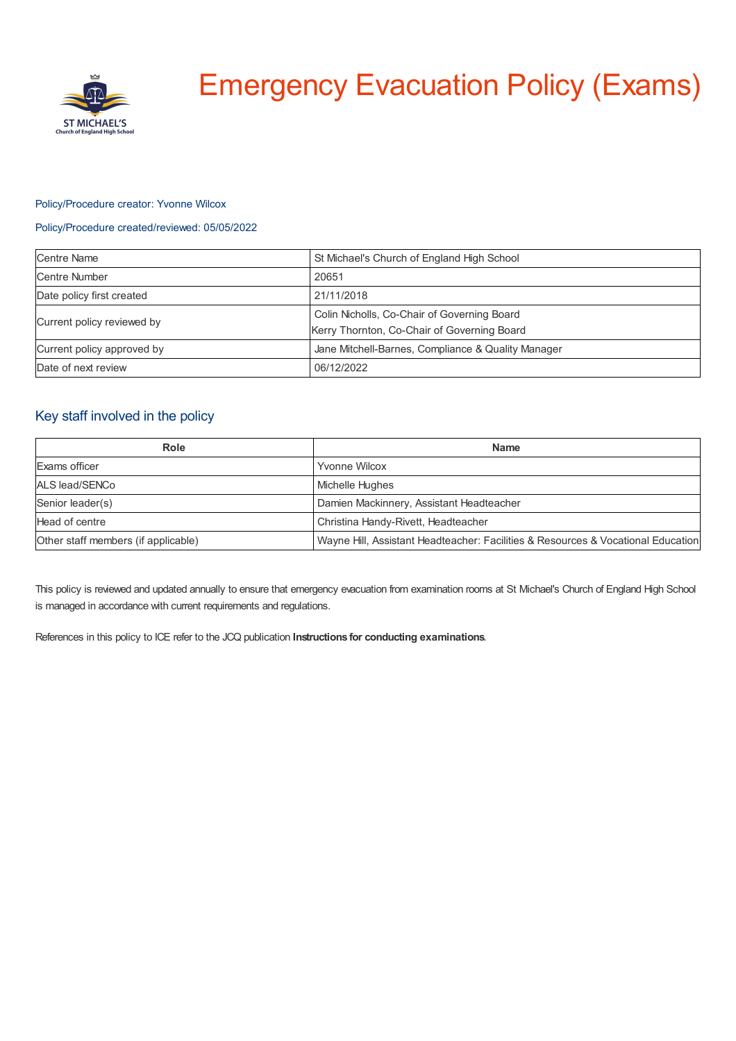

# Emergency Evacuation Policy (Exams)

#### Policy/Procedure creator: Yvonne Wilcox

#### Policy/Procedure created/reviewed: 05/05/2022

| <b>Centre Name</b>         | St Michael's Church of England High School                                                 |
|----------------------------|--------------------------------------------------------------------------------------------|
| Centre Number              | 20651                                                                                      |
| Date policy first created  | 21/11/2018                                                                                 |
| Current policy reviewed by | Colin Nicholls, Co-Chair of Governing Board<br>Kerry Thornton, Co-Chair of Governing Board |
| Current policy approved by | Jane Mitchell-Barnes, Compliance & Quality Manager                                         |
| Date of next review        | 06/12/2022                                                                                 |

# Key staff involved in the policy

| Role                                | <b>Name</b>                                                                      |
|-------------------------------------|----------------------------------------------------------------------------------|
| Exams officer                       | <b>Yvonne Wilcox</b>                                                             |
| ALS lead/SENCo                      | Michelle Hughes                                                                  |
| Senior leader(s)                    | Damien Mackinnery, Assistant Headteacher                                         |
| Head of centre                      | Christina Handy-Rivett, Headteacher                                              |
| Other staff members (if applicable) | Wayne Hill, Assistant Headteacher: Facilities & Resources & Vocational Education |

This policy is reviewed and updated annually to ensure that emergency evacuation from examination rooms at St Michael's Church of England High School is managed in accordance with current requirements and regulations.

References in this policy to ICE refer to the JCQ publication **Instructions for conducting examinations**.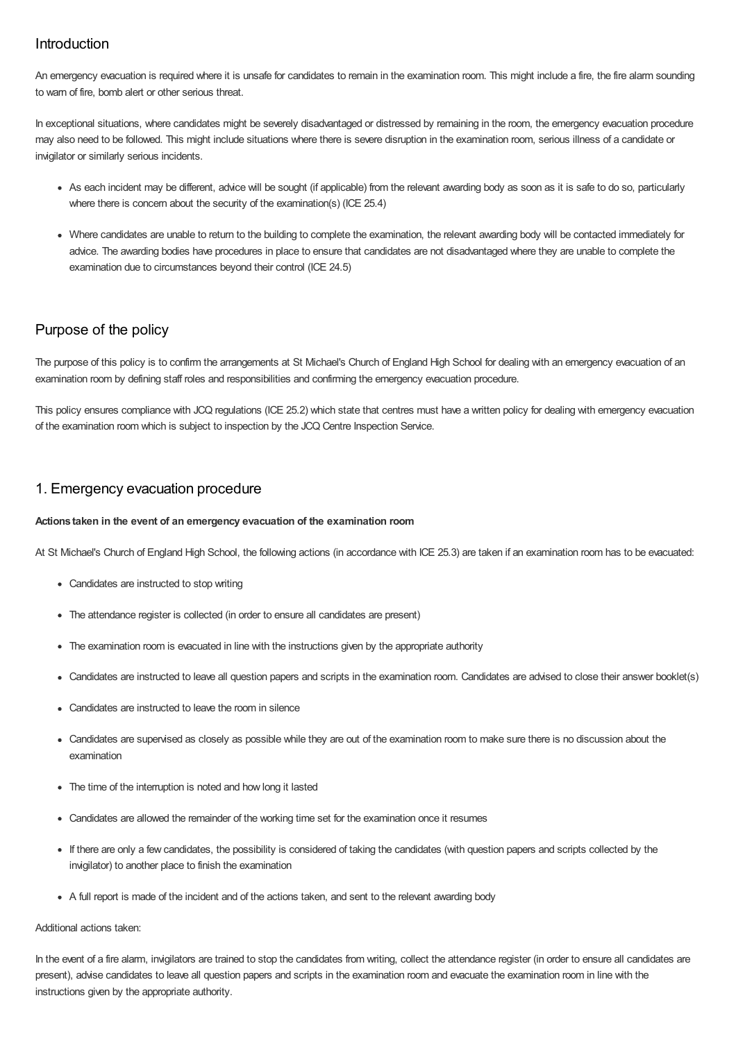## Introduction

An emergency evacuation is required where it is unsafe for candidates to remain in the examination room. This might include a fire, the fire alarm sounding to warn of fire, bomb alert or other serious threat.

In exceptional situations, where candidates might be severely disadvantaged or distressed by remaining in the room, the emergency evacuation procedure may also need to be followed. This might include situations where there is severe disruption in the examination room, serious illness of a candidate or invigilator or similarly serious incidents.

- As each incident may be different, advice will be sought (if applicable) from the relevant awarding body as soon as it is safe to do so, particularly where there is concern about the security of the examination(s) (ICE 25.4)
- Where candidates are unable to return to the building to complete the examination, the relevant awarding body will be contacted immediately for advice. The awarding bodies have procedures in place to ensure that candidates are not disadvantaged where they are unable to complete the examination due to circumstances beyond their control (ICE 24.5)

# Purpose of the policy

The purpose of this policy is to confirm the arrangements at St Michael's Church of England High School for dealing with an emergency evacuation of an examination room by defining staff roles and responsibilities and confirming the emergency evacuation procedure.

This policy ensures compliance with JCQ regulations (ICE 25.2) which state that centres must have a written policy for dealing with emergency evacuation of the examination room which is subject to inspection by the JCQ Centre Inspection Service.

## 1. Emergency evacuation procedure

#### **Actions taken in the event of an emergency evacuation of the examination room**

At St Michael's Church of England High School, the following actions (in accordance with ICE 25.3) are taken if an examination room has to be evacuated:

- Candidates are instructed to stop writing
- The attendance register is collected (in order to ensure all candidates are present)
- The examination room is evacuated in line with the instructions given by the appropriate authority
- Candidates are instructed to leave all question papers and scripts in the examination room. Candidates are advised to close their answer booklet(s)
- Candidates are instructed to leave the room in silence
- Candidates are supervised as closely as possible while they are out of the examination room to make sure there is no discussion about the examination
- The time of the interruption is noted and how long it lasted
- Candidates are allowed the remainder of the working time set for the examination once it resumes
- If there are only a few candidates, the possibility is considered of taking the candidates (with question papers and scripts collected by the invigilator) to another place to finish the examination
- A full report is made of the incident and of the actions taken, and sent to the relevant awarding body

#### Additional actions taken:

In the event of a fire alarm, invigilators are trained to stop the candidates from writing, collect the attendance register (in order to ensure all candidates are present), advise candidates to leave all question papers and scripts in the examination room and evacuate the examination room in line with the instructions given by the appropriate authority.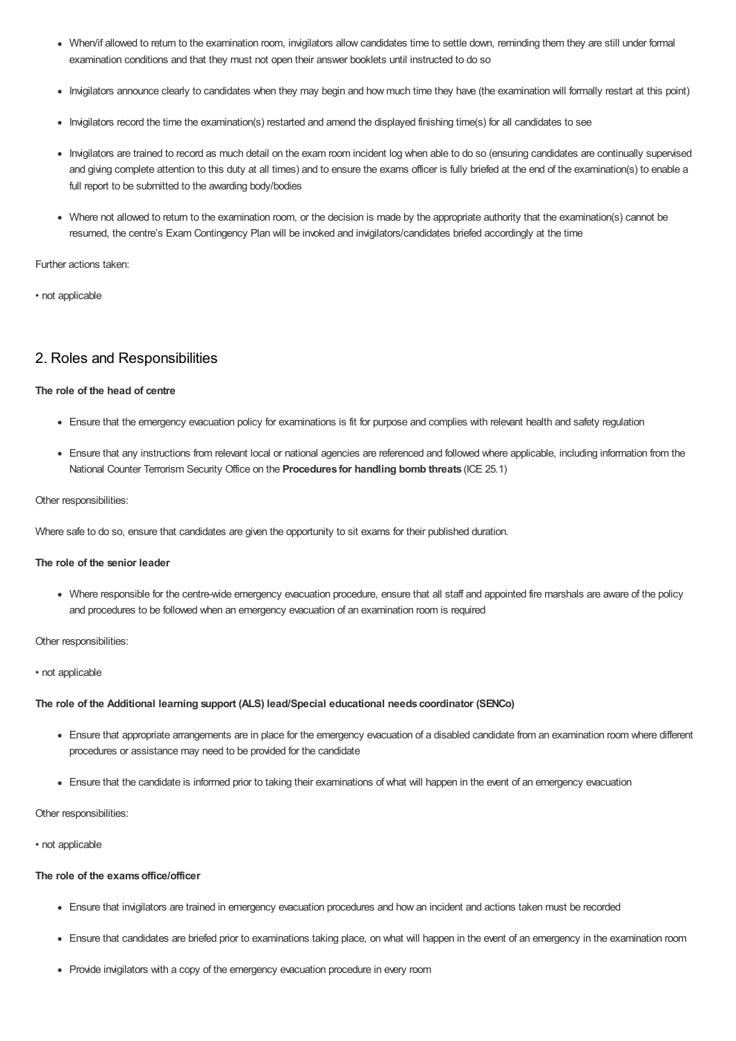- When/if allowed to return to the examination room, invigilators allow candidates time to settle down, reminding them they are still under formal examination conditions and that they must not open their answer booklets until instructed to do so
- Invigilators announce clearly to candidates when they may begin and how much time they have (the examination will formally restart at this point)
- Invigilators record the time the examination(s) restarted and amend the displayed finishing time(s) for all candidates to see
- Invigilators are trained to record as much detail on the exam room incident log when able to do so (ensuring candidates are continually supervised and giving complete attention to this duty at all times) and to ensure the exams officer is fully briefed at the end of the examination(s) to enable a full report to be submitted to the awarding body/bodies
- Where not allowed to return to the examination room, or the decision is made by the appropriate authority that the examination(s) cannot be resumed, the centre's Exam Contingency Plan will be invoked and invigilators/candidates briefed accordingly at the time

Further actions taken:

• not applicable

## 2. Roles and Responsibilities

#### **The role of the head of centre**

- Ensure that the emergency evacuation policy for examinations is fit for purpose and complies with relevant health and safety regulation
- Ensure that any instructions from relevant local or national agencies are referenced and followed where applicable, including information from the National Counter Terrorism Security Office on the **Procedures for handling bomb threats** (ICE 25.1)

#### Other responsibilities:

Where safe to do so, ensure that candidates are given the opportunity to sit exams for their published duration.

#### **The role of the senior leader**

Where responsible for the centre-wide emergency evacuation procedure, ensure that all staff and appointed fire marshals are aware of the policy and procedures to be followed when an emergency evacuation of an examination room is required

Other responsibilities:

#### • not applicable

#### **The role of the Additional learning support (ALS) lead/Special educational needs coordinator (SENCo)**

- Ensure that appropriate arrangements are in place for the emergency evacuation of a disabled candidate from an examination room where different procedures or assistance may need to be provided for the candidate
- Ensure that the candidate is informed prior to taking their examinations of what will happen in the event of an emergency evacuation

Other responsibilities:

#### • not applicable

#### **The role of the examsoffice/officer**

- Ensure that invigilators are trained in emergency evacuation procedures and how an incident and actions taken must be recorded
- Ensure that candidates are briefed prior to examinations taking place, on what will happen in the event of an emergency in the examination room
- Provide invigilators with a copy of the emergency evacuation procedure in every room